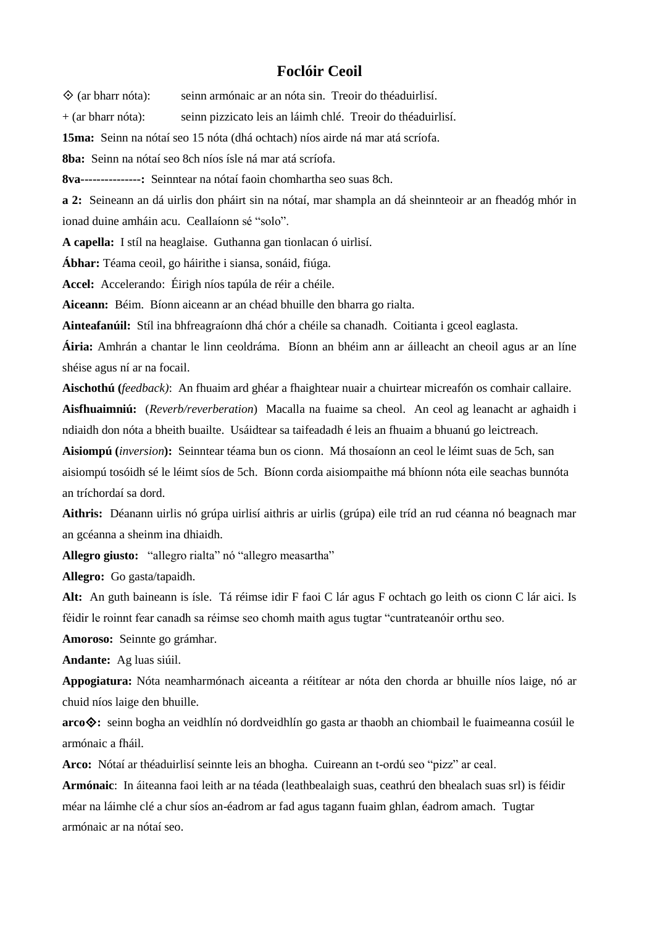## **Foclóir Ceoil**

 $\Diamond$  (ar bharr nóta): seinn armónaic ar an nóta sin. Treoir do théaduirlisí.

+ (ar bharr nóta): seinn pizzicato leis an láimh chlé. Treoir do théaduirlisí.

**15ma:** Seinn na nótaí seo 15 nóta (dhá ochtach) níos airde ná mar atá scríofa.

**8ba:** Seinn na nótaí seo 8ch níos ísle ná mar atá scríofa.

**8va---------------:** Seinntear na nótaí faoin chomhartha seo suas 8ch.

**a 2:** Seineann an dá uirlis don pháirt sin na nótaí, mar shampla an dá sheinnteoir ar an fheadóg mhór in ionad duine amháin acu. Ceallaíonn sé "solo".

**A capella:** I stíl na heaglaise. Guthanna gan tionlacan ó uirlisí.

**Ábhar:** Téama ceoil, go háirithe i siansa, sonáid, fiúga.

**Accel:** Accelerando: Éirigh níos tapúla de réir a chéile.

**Aiceann:** Béim. Bíonn aiceann ar an chéad bhuille den bharra go rialta.

**Ainteafanúil:** Stíl ina bhfreagraíonn dhá chór a chéile sa chanadh. Coitianta i gceol eaglasta.

**Áiria:** Amhrán a chantar le linn ceoldráma. Bíonn an bhéim ann ar áilleacht an cheoil agus ar an líne shéise agus ní ar na focail.

**Aischothú (***feedback)*: An fhuaim ard ghéar a fhaightear nuair a chuirtear micreafón os comhair callaire.

**Aisfhuaimniú:** (*Reverb/reverberation*) Macalla na fuaime sa cheol. An ceol ag leanacht ar aghaidh i ndiaidh don nóta a bheith buailte. Usáidtear sa taifeadadh é leis an fhuaim a bhuanú go leictreach.

**Aisiompú (***inversion***):** Seinntear téama bun os cionn. Má thosaíonn an ceol le léimt suas de 5ch, san aisiompú tosóidh sé le léimt síos de 5ch. Bíonn corda aisiompaithe má bhíonn nóta eile seachas bunnóta an tríchordaí sa dord.

**Aithris:** Déanann uirlis nó grúpa uirlisí aithris ar uirlis (grúpa) eile tríd an rud céanna nó beagnach mar an gcéanna a sheinm ina dhiaidh.

**Allegro giusto:** "allegro rialta" nó "allegro measartha"

**Allegro:** Go gasta/tapaidh.

**Alt:** An guth baineann is ísle. Tá réimse idir F faoi C lár agus F ochtach go leith os cionn C lár aici. Is féidir le roinnt fear canadh sa réimse seo chomh maith agus tugtar "cuntrateanóir orthu seo.

**Amoroso:** Seinnte go grámhar.

**Andante:** Ag luas siúil.

**Appogiatura:** Nóta neamharmónach aiceanta a réitítear ar nóta den chorda ar bhuille níos laige, nó ar chuid níos laige den bhuille.

**arco:** seinn bogha an veidhlín nó dordveidhlín go gasta ar thaobh an chiombail le fuaimeanna cosúil le armónaic a fháil.

**Arco:** Nótaí ar théaduirlisí seinnte leis an bhogha. Cuireann an t-ordú seo "pizz" ar ceal.

**Armónaic**: In áiteanna faoi leith ar na téada (leathbealaigh suas, ceathrú den bhealach suas srl) is féidir méar na láimhe clé a chur síos an-éadrom ar fad agus tagann fuaim ghlan, éadrom amach. Tugtar armónaic ar na nótaí seo.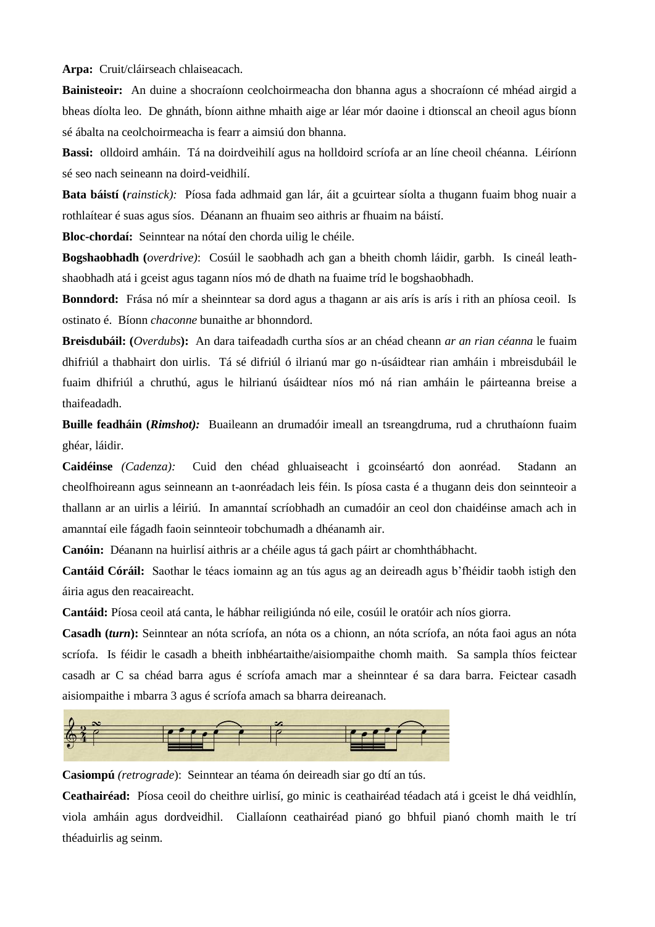**Arpa:** Cruit/cláirseach chlaiseacach.

**Bainisteoir:** An duine a shocraíonn ceolchoirmeacha don bhanna agus a shocraíonn cé mhéad airgid a bheas díolta leo. De ghnáth, bíonn aithne mhaith aige ar léar mór daoine i dtionscal an cheoil agus bíonn sé ábalta na ceolchoirmeacha is fearr a aimsiú don bhanna.

**Bassi:** olldoird amháin. Tá na doirdveihilí agus na holldoird scríofa ar an líne cheoil chéanna. Léiríonn sé seo nach seineann na doird-veidhilí.

**Bata báistí (***rainstick):* Píosa fada adhmaid gan lár, áit a gcuirtear síolta a thugann fuaim bhog nuair a rothlaítear é suas agus síos. Déanann an fhuaim seo aithris ar fhuaim na báistí.

**Bloc-chordaí:** Seinntear na nótaí den chorda uilig le chéile.

**Bogshaobhadh (***overdrive)*: Cosúil le saobhadh ach gan a bheith chomh láidir, garbh. Is cineál leathshaobhadh atá i gceist agus tagann níos mó de dhath na fuaime tríd le bogshaobhadh.

**Bonndord:** Frása nó mír a sheinntear sa dord agus a thagann ar ais arís is arís i rith an phíosa ceoil. Is ostinato é. Bíonn *chaconne* bunaithe ar bhonndord.

**Breisdubáil: (***Overdubs***):** An dara taifeadadh curtha síos ar an chéad cheann *ar an rian céanna* le fuaim dhifriúl a thabhairt don uirlis. Tá sé difriúl ó ilrianú mar go n-úsáidtear rian amháin i mbreisdubáil le fuaim dhifriúl a chruthú, agus le hilrianú úsáidtear níos mó ná rian amháin le páirteanna breise a thaifeadadh.

**Buille feadháin (***Rimshot):* Buaileann an drumadóir imeall an tsreangdruma, rud a chruthaíonn fuaim ghéar, láidir.

**Caidéinse** *(Cadenza):* Cuid den chéad ghluaiseacht i gcoinséartó don aonréad. Stadann an cheolfhoireann agus seinneann an t-aonréadach leis féin. Is píosa casta é a thugann deis don seinnteoir a thallann ar an uirlis a léiriú. In amanntaí scríobhadh an cumadóir an ceol don chaidéinse amach ach in amanntaí eile fágadh faoin seinnteoir tobchumadh a dhéanamh air.

**Canóin:** Déanann na huirlisí aithris ar a chéile agus tá gach páirt ar chomhthábhacht.

**Cantáid Córáil:** Saothar le téacs iomainn ag an tús agus ag an deireadh agus b'fhéidir taobh istigh den áiria agus den reacaireacht.

**Cantáid:** Píosa ceoil atá canta, le hábhar reiligiúnda nó eile, cosúil le oratóir ach níos giorra.

**Casadh (***turn***):** Seinntear an nóta scríofa, an nóta os a chionn, an nóta scríofa, an nóta faoi agus an nóta scríofa. Is féidir le casadh a bheith inbhéartaithe/aisiompaithe chomh maith. Sa sampla thíos feictear casadh ar C sa chéad barra agus é scríofa amach mar a sheinntear é sa dara barra. Feictear casadh aisiompaithe i mbarra 3 agus é scríofa amach sa bharra deireanach.



**Casiompú** *(retrograde*): Seinntear an téama ón deireadh siar go dtí an tús.

**Ceathairéad:** Píosa ceoil do cheithre uirlisí, go minic is ceathairéad téadach atá i gceist le dhá veidhlín, viola amháin agus dordveidhil. Ciallaíonn ceathairéad pianó go bhfuil pianó chomh maith le trí théaduirlis ag seinm.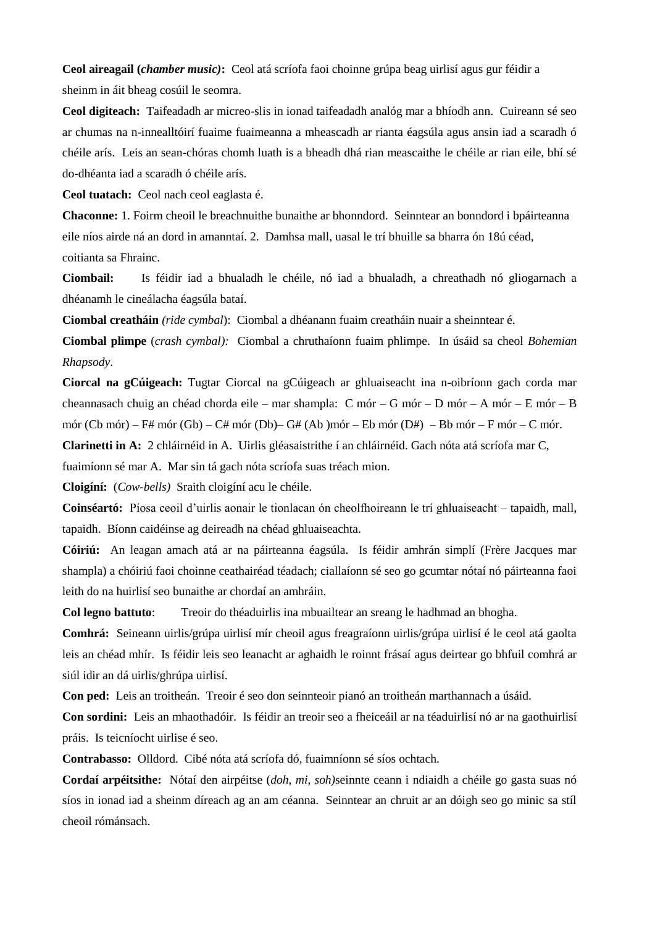**Ceol aireagail (***chamber music)***:** Ceol atá scríofa faoi choinne grúpa beag uirlisí agus gur féidir a sheinm in áit bheag cosúil le seomra.

**Ceol digiteach:** Taifeadadh ar micreo-slis in ionad taifeadadh analóg mar a bhíodh ann. Cuireann sé seo ar chumas na n-innealltóirí fuaime fuaimeanna a mheascadh ar rianta éagsúla agus ansin iad a scaradh ó chéile arís. Leis an sean-chóras chomh luath is a bheadh dhá rian meascaithe le chéile ar rian eile, bhí sé do-dhéanta iad a scaradh ó chéile arís.

**Ceol tuatach:** Ceol nach ceol eaglasta é.

**Chaconne:** 1. Foirm cheoil le breachnuithe bunaithe ar bhonndord. Seinntear an bonndord i bpáirteanna eile níos airde ná an dord in amanntaí. 2. Damhsa mall, uasal le trí bhuille sa bharra ón 18ú céad, coitianta sa Fhrainc.

**Ciombail:** Is féidir iad a bhualadh le chéile, nó iad a bhualadh, a chreathadh nó gliogarnach a dhéanamh le cineálacha éagsúla bataí.

**Ciombal creatháin** *(ride cymbal*): Ciombal a dhéanann fuaim creatháin nuair a sheinntear é.

**Ciombal plimpe** (*crash cymbal):* Ciombal a chruthaíonn fuaim phlimpe. In úsáid sa cheol *Bohemian Rhapsody*.

**Ciorcal na gCúigeach:** Tugtar Ciorcal na gCúigeach ar ghluaiseacht ina n-oibríonn gach corda mar cheannasach chuig an chéad chorda eile – mar shampla: C mór – G mór – D mór – A mór – E mór – B mór (Cb mór) – F# mór (Gb) – C# mór (Db) – G# (Ab )mór – Eb mór (D#) – Bb mór – F mór – C mór.

**Clarinetti in A:** 2 chláirnéid in A. Uirlis gléasaistrithe í an chláirnéid. Gach nóta atá scríofa mar C,

fuaimíonn sé mar A. Mar sin tá gach nóta scríofa suas tréach mion.

**Cloigíní:** (*Cow-bells)* Sraith cloigíní acu le chéile.

**Coinséartó:** Píosa ceoil d'uirlis aonair le tionlacan ón cheolfhoireann le trí ghluaiseacht – tapaidh, mall, tapaidh. Bíonn caidéinse ag deireadh na chéad ghluaiseachta.

**Cóiriú:** An leagan amach atá ar na páirteanna éagsúla. Is féidir amhrán simplí (Frère Jacques mar shampla) a chóiriú faoi choinne ceathairéad téadach; ciallaíonn sé seo go gcumtar nótaí nó páirteanna faoi leith do na huirlisí seo bunaithe ar chordaí an amhráin.

**Col legno battuto**: Treoir do théaduirlis ina mbuailtear an sreang le hadhmad an bhogha.

**Comhrá:** Seineann uirlis/grúpa uirlisí mír cheoil agus freagraíonn uirlis/grúpa uirlisí é le ceol atá gaolta leis an chéad mhír. Is féidir leis seo leanacht ar aghaidh le roinnt frásaí agus deirtear go bhfuil comhrá ar siúl idir an dá uirlis/ghrúpa uirlisí.

**Con ped:** Leis an troitheán. Treoir é seo don seinnteoir pianó an troitheán marthannach a úsáid.

**Con sordini:** Leis an mhaothadóir. Is féidir an treoir seo a fheiceáil ar na téaduirlisí nó ar na gaothuirlisí práis. Is teicníocht uirlise é seo.

**Contrabasso:** Olldord. Cibé nóta atá scríofa dó, fuaimníonn sé síos ochtach.

**Cordaí arpéitsithe:** Nótaí den airpéitse (*doh, mi, soh)*seinnte ceann i ndiaidh a chéile go gasta suas nó síos in ionad iad a sheinm díreach ag an am céanna. Seinntear an chruit ar an dóigh seo go minic sa stíl cheoil rómánsach.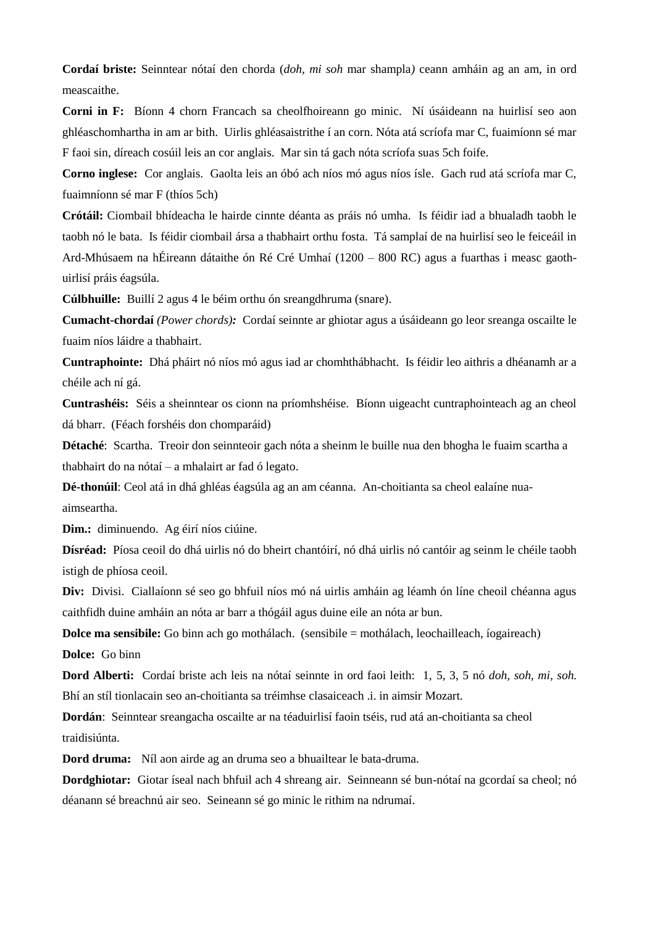**Cordaí briste:** Seinntear nótaí den chorda (*doh, mi soh* mar shampla*)* ceann amháin ag an am, in ord meascaithe.

**Corni in F:** Bíonn 4 chorn Francach sa cheolfhoireann go minic. Ní úsáideann na huirlisí seo aon ghléaschomhartha in am ar bith. Uirlis ghléasaistrithe í an corn. Nóta atá scríofa mar C, fuaimíonn sé mar F faoi sin, díreach cosúil leis an cor anglais. Mar sin tá gach nóta scríofa suas 5ch foife.

**Corno inglese:** Cor anglais. Gaolta leis an óbó ach níos mó agus níos ísle. Gach rud atá scríofa mar C, fuaimníonn sé mar F (thíos 5ch)

**Crótáil:** Ciombail bhídeacha le hairde cinnte déanta as práis nó umha. Is féidir iad a bhualadh taobh le taobh nó le bata. Is féidir ciombail ársa a thabhairt orthu fosta. Tá samplaí de na huirlisí seo le feiceáil in Ard-Mhúsaem na hÉireann dátaithe ón Ré Cré Umhaí (1200 – 800 RC) agus a fuarthas i measc gaothuirlisí práis éagsúla.

**Cúlbhuille:** Buillí 2 agus 4 le béim orthu ón sreangdhruma (snare).

**Cumacht-chordaí** *(Power chords):* Cordaí seinnte ar ghiotar agus a úsáideann go leor sreanga oscailte le fuaim níos láidre a thabhairt.

**Cuntraphointe:** Dhá pháirt nó níos mó agus iad ar chomhthábhacht. Is féidir leo aithris a dhéanamh ar a chéile ach ní gá.

**Cuntrashéis:** Séis a sheinntear os cionn na príomhshéise. Bíonn uigeacht cuntraphointeach ag an cheol dá bharr. (Féach forshéis don chomparáid)

**Détaché**: Scartha. Treoir don seinnteoir gach nóta a sheinm le buille nua den bhogha le fuaim scartha a thabhairt do na nótaí – a mhalairt ar fad ó legato.

**Dé-thonúil**: Ceol atá in dhá ghléas éagsúla ag an am céanna. An-choitianta sa cheol ealaíne nuaaimseartha.

**Dim.:** diminuendo. Ag éirí níos ciúine.

**Dísréad:** Píosa ceoil do dhá uirlis nó do bheirt chantóirí, nó dhá uirlis nó cantóir ag seinm le chéile taobh istigh de phíosa ceoil.

**Div:** Divisi. Ciallaíonn sé seo go bhfuil níos mó ná uirlis amháin ag léamh ón líne cheoil chéanna agus caithfidh duine amháin an nóta ar barr a thógáil agus duine eile an nóta ar bun.

**Dolce ma sensibile:** Go binn ach go mothálach. (sensibile = mothálach, leochailleach, íogaireach)

**Dolce:** Go binn

**Dord Alberti:** Cordaí briste ach leis na nótaí seinnte in ord faoi leith: 1, 5, 3, 5 nó *doh, soh, mi, soh.* Bhí an stíl tionlacain seo an-choitianta sa tréimhse clasaiceach .i. in aimsir Mozart.

**Dordán**: Seinntear sreangacha oscailte ar na téaduirlisí faoin tséis, rud atá an-choitianta sa cheol traidisiúnta.

**Dord druma:** Níl aon airde ag an druma seo a bhuailtear le bata-druma.

**Dordghiotar:** Giotar íseal nach bhfuil ach 4 shreang air. Seinneann sé bun-nótaí na gcordaí sa cheol; nó déanann sé breachnú air seo. Seineann sé go minic le rithim na ndrumaí.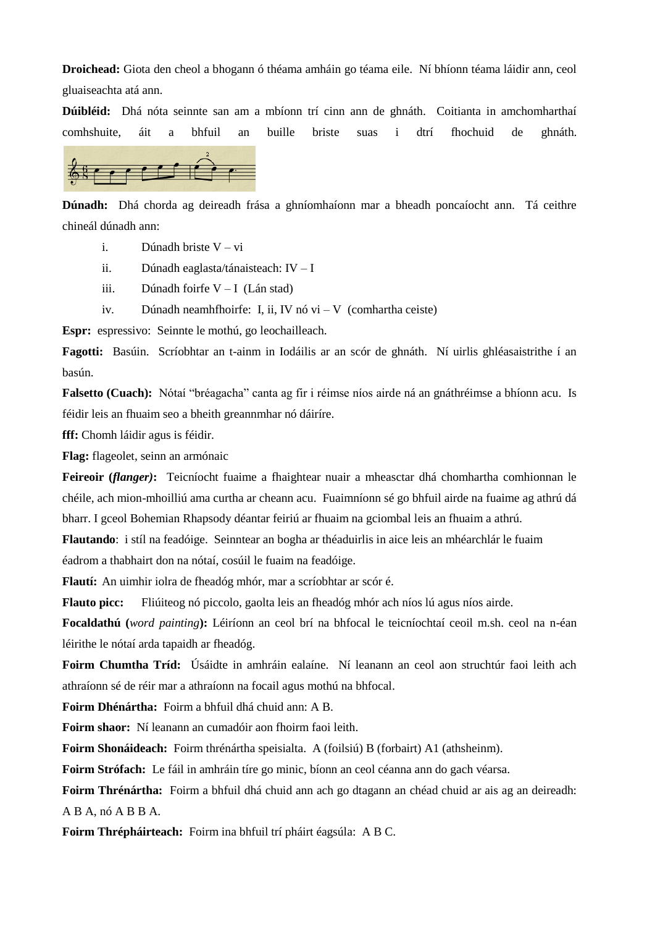**Droichead:** Giota den cheol a bhogann ó théama amháin go téama eile. Ní bhíonn téama láidir ann, ceol gluaiseachta atá ann.

**Dúibléid:** Dhá nóta seinnte san am a mbíonn trí cinn ann de ghnáth. Coitianta in amchomharthaí comhshuite, áit a bhfuil an buille briste suas i dtrí fhochuid de ghnáth.



**Dúnadh:** Dhá chorda ag deireadh frása a ghníomhaíonn mar a bheadh poncaíocht ann. Tá ceithre chineál dúnadh ann:

- i. Dúnadh briste  $V vi$
- ii. Dúnadh eaglasta/tánaisteach: IV I
- iii. Dúnadh foirfe V I (Lán stad)
- iv. Dúnadh neamhfhoirfe: I, ii, IV nó vi V (comhartha ceiste)

**Espr:** espressivo: Seinnte le mothú, go leochailleach.

**Fagotti:** Basúin. Scríobhtar an t-ainm in Iodáilis ar an scór de ghnáth. Ní uirlis ghléasaistrithe í an basún.

**Falsetto (Cuach):** Nótaí "bréagacha" canta ag fir i réimse níos airde ná an gnáthréimse a bhíonn acu. Is féidir leis an fhuaim seo a bheith greannmhar nó dáiríre.

**fff:** Chomh láidir agus is féidir.

**Flag:** flageolet, seinn an armónaic

**Feireoir (***flanger)***:** Teicníocht fuaime a fhaightear nuair a mheasctar dhá chomhartha comhionnan le chéile, ach mion-mhoilliú ama curtha ar cheann acu. Fuaimníonn sé go bhfuil airde na fuaime ag athrú dá bharr. I gceol Bohemian Rhapsody déantar feiriú ar fhuaim na gciombal leis an fhuaim a athrú.

**Flautando**: i stíl na feadóige. Seinntear an bogha ar théaduirlis in aice leis an mhéarchlár le fuaim

éadrom a thabhairt don na nótaí, cosúil le fuaim na feadóige.

**Flautí:** An uimhir iolra de fheadóg mhór, mar a scríobhtar ar scór é.

**Flauto picc:** Fliúiteog nó piccolo, gaolta leis an fheadóg mhór ach níos lú agus níos airde.

**Focaldathú (***word painting***):** Léiríonn an ceol brí na bhfocal le teicníochtaí ceoil m.sh. ceol na n-éan léirithe le nótaí arda tapaidh ar fheadóg.

**Foirm Chumtha Tríd:** Úsáidte in amhráin ealaíne. Ní leanann an ceol aon struchtúr faoi leith ach athraíonn sé de réir mar a athraíonn na focail agus mothú na bhfocal.

**Foirm Dhénártha:** Foirm a bhfuil dhá chuid ann: A B.

**Foirm shaor:** Ní leanann an cumadóir aon fhoirm faoi leith.

**Foirm Shonáideach:** Foirm thrénártha speisialta. A (foilsiú) B (forbairt) A1 (athsheinm).

**Foirm Strófach:** Le fáil in amhráin tíre go minic, bíonn an ceol céanna ann do gach véarsa.

**Foirm Thrénártha:** Foirm a bhfuil dhá chuid ann ach go dtagann an chéad chuid ar ais ag an deireadh: A B A, nó A B B A.

**Foirm Thrépháirteach:** Foirm ina bhfuil trí pháirt éagsúla: A B C.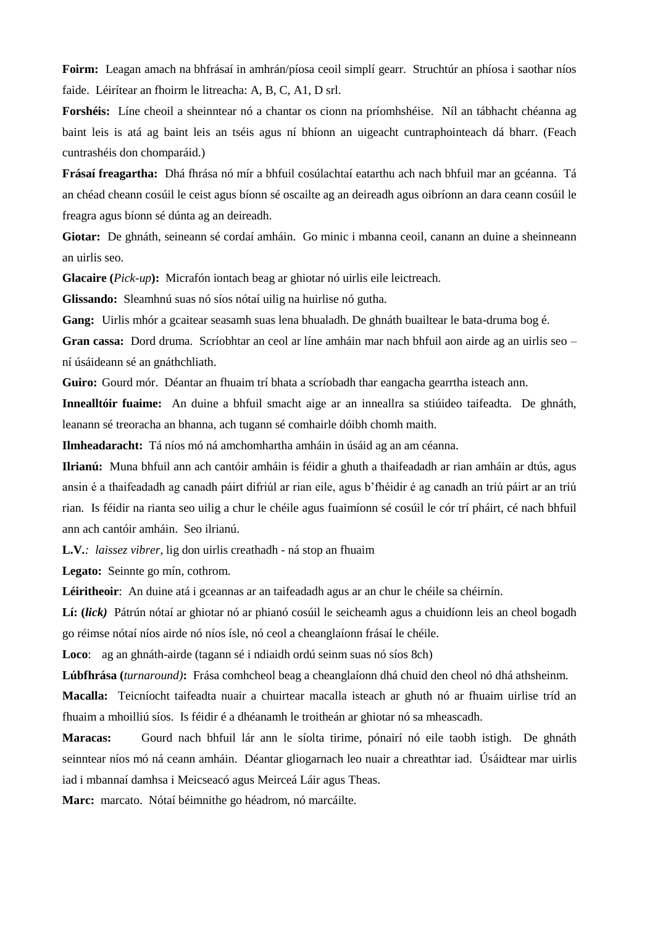**Foirm:** Leagan amach na bhfrásaí in amhrán/píosa ceoil simplí gearr. Struchtúr an phíosa i saothar níos faide. Léirítear an fhoirm le litreacha: A, B, C, A1, D srl.

**Forshéis:** Líne cheoil a sheinntear nó a chantar os cionn na príomhshéise. Níl an tábhacht chéanna ag baint leis is atá ag baint leis an tséis agus ní bhíonn an uigeacht cuntraphointeach dá bharr. (Feach cuntrashéis don chomparáid.)

**Frásaí freagartha:** Dhá fhrása nó mír a bhfuil cosúlachtaí eatarthu ach nach bhfuil mar an gcéanna. Tá an chéad cheann cosúil le ceist agus bíonn sé oscailte ag an deireadh agus oibríonn an dara ceann cosúil le freagra agus bíonn sé dúnta ag an deireadh.

**Giotar:** De ghnáth, seineann sé cordaí amháin. Go minic i mbanna ceoil, canann an duine a sheinneann an uirlis seo.

**Glacaire (***Pick-up***):** Micrafón iontach beag ar ghiotar nó uirlis eile leictreach.

**Glissando:** Sleamhnú suas nó síos nótaí uilig na huirlise nó gutha.

**Gang:** Uirlis mhór a gcaitear seasamh suas lena bhualadh. De ghnáth buailtear le bata-druma bog é.

**Gran cassa:** Dord druma. Scríobhtar an ceol ar líne amháin mar nach bhfuil aon airde ag an uirlis seo – ní úsáideann sé an gnáthchliath.

**Guiro:** Gourd mór. Déantar an fhuaim trí bhata a scríobadh thar eangacha gearrtha isteach ann.

**Innealltóir fuaime:** An duine a bhfuil smacht aige ar an inneallra sa stiúideo taifeadta. De ghnáth, leanann sé treoracha an bhanna, ach tugann sé comhairle dóibh chomh maith.

**Ilmheadaracht:** Tá níos mó ná amchomhartha amháin in úsáid ag an am céanna.

**Ilrianú:** Muna bhfuil ann ach cantóir amháin is féidir a ghuth a thaifeadadh ar rian amháin ar dtús, agus ansin é a thaifeadadh ag canadh páirt difriúl ar rian eile, agus b'fhéidir é ag canadh an tríú páirt ar an tríú rian. Is féidir na rianta seo uilig a chur le chéile agus fuaimíonn sé cosúil le cór trí pháirt, cé nach bhfuil ann ach cantóir amháin. Seo ilrianú.

**L.V***.: laissez vibrer*, lig don uirlis creathadh - ná stop an fhuaim

**Legato:** Seinnte go mín, cothrom.

**Léiritheoir**: An duine atá i gceannas ar an taifeadadh agus ar an chur le chéile sa chéirnín.

**Lí: (***lick)* Pátrún nótaí ar ghiotar nó ar phianó cosúil le seicheamh agus a chuidíonn leis an cheol bogadh go réimse nótaí níos airde nó níos ísle, nó ceol a cheanglaíonn frásaí le chéile.

**Loco**: ag an ghnáth-airde (tagann sé i ndiaidh ordú seinm suas nó síos 8ch)

**Lúbfhrása (***turnaround)***:** Frása comhcheol beag a cheanglaíonn dhá chuid den cheol nó dhá athsheinm.

**Macalla:** Teicníocht taifeadta nuair a chuirtear macalla isteach ar ghuth nó ar fhuaim uirlise tríd an fhuaim a mhoilliú síos. Is féidir é a dhéanamh le troitheán ar ghiotar nó sa mheascadh.

**Maracas:** Gourd nach bhfuil lár ann le síolta tirime, pónairí nó eile taobh istigh. De ghnáth seinntear níos mó ná ceann amháin. Déantar gliogarnach leo nuair a chreathtar iad. Úsáidtear mar uirlis iad i mbannaí damhsa i Meicseacó agus Meirceá Láir agus Theas.

**Marc:** marcato. Nótaí béimnithe go héadrom, nó marcáilte.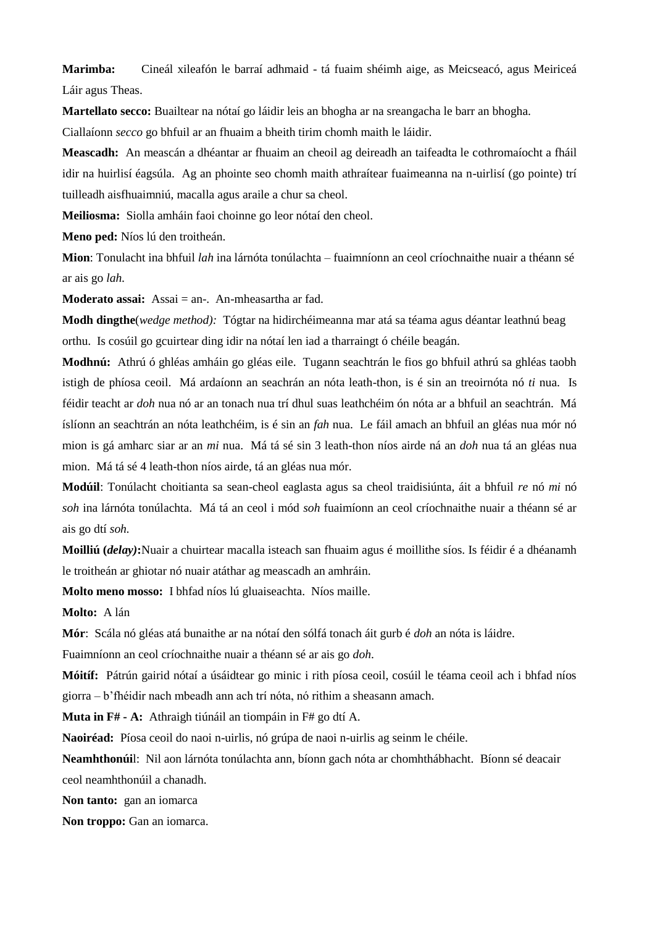**Marimba:** Cineál xileafón le barraí adhmaid - tá fuaim shéimh aige, as Meicseacó, agus Meiriceá Láir agus Theas.

**Martellato secco:** Buailtear na nótaí go láidir leis an bhogha ar na sreangacha le barr an bhogha. Ciallaíonn *secco* go bhfuil ar an fhuaim a bheith tirim chomh maith le láidir.

**Meascadh:** An meascán a dhéantar ar fhuaim an cheoil ag deireadh an taifeadta le cothromaíocht a fháil idir na huirlisí éagsúla. Ag an phointe seo chomh maith athraítear fuaimeanna na n-uirlisí (go pointe) trí tuilleadh aisfhuaimniú, macalla agus araile a chur sa cheol.

**Meiliosma:** Siolla amháin faoi choinne go leor nótaí den cheol.

**Meno ped:** Níos lú den troitheán.

**Mion**: Tonulacht ina bhfuil *lah* ina lárnóta tonúlachta – fuaimníonn an ceol críochnaithe nuair a théann sé ar ais go *lah.*

**Moderato assai:** Assai = an-. An-mheasartha ar fad.

**Modh dingthe**(*wedge method):* Tógtar na hidirchéimeanna mar atá sa téama agus déantar leathnú beag orthu. Is cosúil go gcuirtear ding idir na nótaí len iad a tharraingt ó chéile beagán.

**Modhnú:** Athrú ó ghléas amháin go gléas eile. Tugann seachtrán le fios go bhfuil athrú sa ghléas taobh istigh de phíosa ceoil. Má ardaíonn an seachrán an nóta leath-thon, is é sin an treoirnóta nó *ti* nua. Is féidir teacht ar *doh* nua nó ar an tonach nua trí dhul suas leathchéim ón nóta ar a bhfuil an seachtrán. Má íslíonn an seachtrán an nóta leathchéim, is é sin an *fah* nua. Le fáil amach an bhfuil an gléas nua mór nó mion is gá amharc siar ar an *mi* nua. Má tá sé sin 3 leath-thon níos airde ná an *doh* nua tá an gléas nua mion. Má tá sé 4 leath-thon níos airde, tá an gléas nua mór.

**Modúil**: Tonúlacht choitianta sa sean-cheol eaglasta agus sa cheol traidisiúnta, áit a bhfuil *re* nó *mi* nó *soh* ina lárnóta tonúlachta. Má tá an ceol i mód *soh* fuaimíonn an ceol críochnaithe nuair a théann sé ar ais go dtí *soh.*

**Moilliú (***delay)***:**Nuair a chuirtear macalla isteach san fhuaim agus é moillithe síos. Is féidir é a dhéanamh le troitheán ar ghiotar nó nuair atáthar ag meascadh an amhráin.

**Molto meno mosso:** I bhfad níos lú gluaiseachta. Níos maille.

**Molto:** A lán

**Mór**: Scála nó gléas atá bunaithe ar na nótaí den sólfá tonach áit gurb é *doh* an nóta is láidre.

Fuaimníonn an ceol críochnaithe nuair a théann sé ar ais go *doh*.

**Móitíf:** Pátrún gairid nótaí a úsáidtear go minic i rith píosa ceoil, cosúil le téama ceoil ach i bhfad níos giorra – b'fhéidir nach mbeadh ann ach trí nóta, nó rithim a sheasann amach.

**Muta in F# - A:** Athraigh tiúnáil an tiompáin in F# go dtí A.

**Naoiréad:** Píosa ceoil do naoi n-uirlis, nó grúpa de naoi n-uirlis ag seinm le chéile.

**Neamhthonúi**l: Nil aon lárnóta tonúlachta ann, bíonn gach nóta ar chomhthábhacht. Bíonn sé deacair ceol neamhthonúil a chanadh.

**Non tanto:** gan an iomarca

**Non troppo:** Gan an iomarca.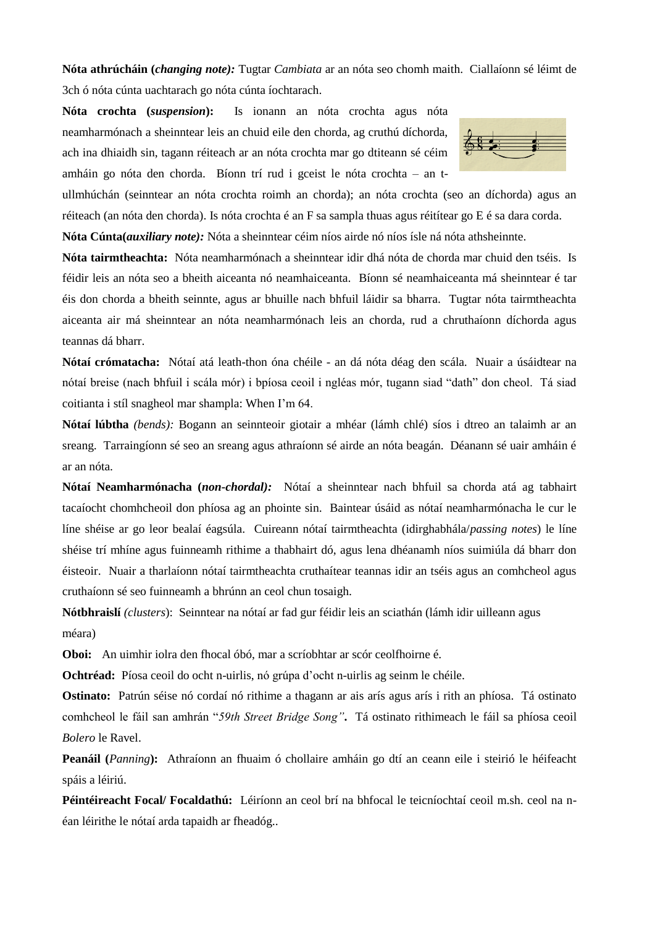**Nóta athrúcháin (***changing note):* Tugtar *Cambiata* ar an nóta seo chomh maith. Ciallaíonn sé léimt de 3ch ó nóta cúnta uachtarach go nóta cúnta íochtarach.

**Nóta crochta (***suspension***):** Is ionann an nóta crochta agus nóta neamharmónach a sheinntear leis an chuid eile den chorda, ag cruthú díchorda, ach ina dhiaidh sin, tagann réiteach ar an nóta crochta mar go dtiteann sé céim amháin go nóta den chorda. Bíonn trí rud i gceist le nóta crochta – an t-



ullmhúchán (seinntear an nóta crochta roimh an chorda); an nóta crochta (seo an díchorda) agus an réiteach (an nóta den chorda). Is nóta crochta é an F sa sampla thuas agus réitítear go E é sa dara corda.

**Nóta Cúnta(***auxiliary note):* Nóta a sheinntear céim níos airde nó níos ísle ná nóta athsheinnte.

**Nóta tairmtheachta:** Nóta neamharmónach a sheinntear idir dhá nóta de chorda mar chuid den tséis. Is féidir leis an nóta seo a bheith aiceanta nó neamhaiceanta. Bíonn sé neamhaiceanta má sheinntear é tar éis don chorda a bheith seinnte, agus ar bhuille nach bhfuil láidir sa bharra. Tugtar nóta tairmtheachta aiceanta air má sheinntear an nóta neamharmónach leis an chorda, rud a chruthaíonn díchorda agus teannas dá bharr.

**Nótaí crómatacha:** Nótaí atá leath-thon óna chéile - an dá nóta déag den scála. Nuair a úsáidtear na nótaí breise (nach bhfuil i scála mór) i bpíosa ceoil i ngléas mór, tugann siad "dath" don cheol. Tá siad coitianta i stíl snagheol mar shampla: When I'm 64.

**Nótaí lúbtha** *(bends):* Bogann an seinnteoir giotair a mhéar (lámh chlé) síos i dtreo an talaimh ar an sreang. Tarraingíonn sé seo an sreang agus athraíonn sé airde an nóta beagán. Déanann sé uair amháin é ar an nóta.

**Nótaí Neamharmónacha (***non-chordal):*Nótaí a sheinntear nach bhfuil sa chorda atá ag tabhairt tacaíocht chomhcheoil don phíosa ag an phointe sin. Baintear úsáid as nótaí neamharmónacha le cur le líne shéise ar go leor bealaí éagsúla. Cuireann nótaí tairmtheachta (idirghabhála/*passing notes*) le líne shéise trí mhíne agus fuinneamh rithime a thabhairt dó, agus lena dhéanamh níos suimiúla dá bharr don éisteoir. Nuair a tharlaíonn nótaí tairmtheachta cruthaítear teannas idir an tséis agus an comhcheol agus cruthaíonn sé seo fuinneamh a bhrúnn an ceol chun tosaigh.

**Nótbhraislí** *(clusters*): Seinntear na nótaí ar fad gur féidir leis an sciathán (lámh idir uilleann agus méara)

**Oboi:** An uimhir iolra den fhocal óbó, mar a scríobhtar ar scór ceolfhoirne é.

**Ochtréad:** Píosa ceoil do ocht n-uirlis, nó grúpa d'ocht n-uirlis ag seinm le chéile.

**Ostinato:** Patrún séise nó cordaí nó rithime a thagann ar ais arís agus arís i rith an phíosa. Tá ostinato comhcheol le fáil san amhrán "*59th Street Bridge Song"***.** Tá ostinato rithimeach le fáil sa phíosa ceoil *Bolero* le Ravel.

**Peanáil (***Panning***):** Athraíonn an fhuaim ó chollaire amháin go dtí an ceann eile i steirió le héifeacht spáis a léiriú.

**Péintéireacht Focal/ Focaldathú:** Léiríonn an ceol brí na bhfocal le teicníochtaí ceoil m.sh. ceol na néan léirithe le nótaí arda tapaidh ar fheadóg..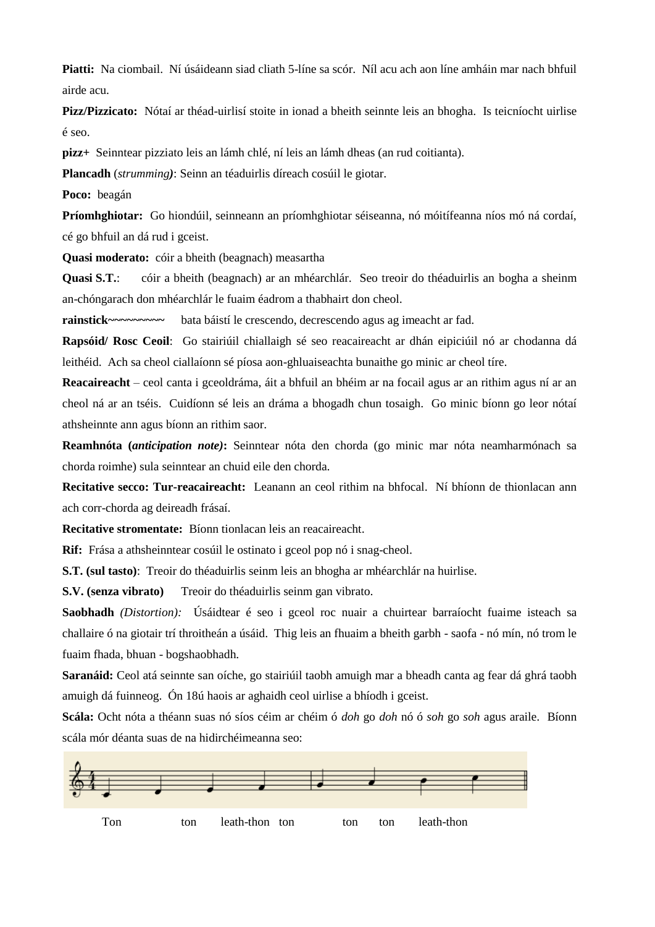**Piatti:** Na ciombail. Ní úsáideann siad cliath 5-líne sa scór. Níl acu ach aon líne amháin mar nach bhfuil airde acu.

**Pizz/Pizzicato:** Nótaí ar théad-uirlisí stoite in ionad a bheith seinnte leis an bhogha. Is teicníocht uirlise é seo.

**pizz+** Seinntear pizziato leis an lámh chlé, ní leis an lámh dheas (an rud coitianta).

**Plancadh** (*strumming)*: Seinn an téaduirlis díreach cosúil le giotar.

**Poco:** beagán

**Príomhghiotar:** Go hiondúil, seinneann an príomhghiotar séiseanna, nó móitífeanna níos mó ná cordaí, cé go bhfuil an dá rud i gceist.

**Quasi moderato:** cóir a bheith (beagnach) measartha

**Quasi S.T.**: cóir a bheith (beagnach) ar an mhéarchlár. Seo treoir do théaduirlis an bogha a sheinm an-chóngarach don mhéarchlár le fuaim éadrom a thabhairt don cheol.

**rainstick~~~~~~~~~** bata báistí le crescendo, decrescendo agus ag imeacht ar fad.

**Rapsóid/ Rosc Ceoil**: Go stairiúil chiallaigh sé seo reacaireacht ar dhán eipiciúil nó ar chodanna dá leithéid. Ach sa cheol ciallaíonn sé píosa aon-ghluaiseachta bunaithe go minic ar cheol tíre.

**Reacaireacht** – ceol canta i gceoldráma, áit a bhfuil an bhéim ar na focail agus ar an rithim agus ní ar an cheol ná ar an tséis. Cuidíonn sé leis an dráma a bhogadh chun tosaigh. Go minic bíonn go leor nótaí athsheinnte ann agus bíonn an rithim saor.

**Reamhnóta (***anticipation note)***:** Seinntear nóta den chorda (go minic mar nóta neamharmónach sa chorda roimhe) sula seinntear an chuid eile den chorda.

**Recitative secco: Tur-reacaireacht:** Leanann an ceol rithim na bhfocal. Ní bhíonn de thionlacan ann ach corr-chorda ag deireadh frásaí.

**Recitative stromentate:** Bíonn tionlacan leis an reacaireacht.

**Rif:** Frása a athsheinntear cosúil le ostinato i gceol pop nó i snag-cheol.

**S.T. (sul tasto)**: Treoir do théaduirlis seinm leis an bhogha ar mhéarchlár na huirlise.

**S.V. (senza vibrato)** Treoir do théaduirlis seinm gan vibrato.

**Saobhadh** *(Distortion):* Úsáidtear é seo i gceol roc nuair a chuirtear barraíocht fuaime isteach sa challaire ó na giotair trí throitheán a úsáid. Thig leis an fhuaim a bheith garbh - saofa - nó mín, nó trom le fuaim fhada, bhuan - bogshaobhadh.

**Saranáid:** Ceol atá seinnte san oíche, go stairiúil taobh amuigh mar a bheadh canta ag fear dá ghrá taobh amuigh dá fuinneog. Ón 18ú haois ar aghaidh ceol uirlise a bhíodh i gceist.

**Scála:** Ocht nóta a théann suas nó síos céim ar chéim ó *doh* go *doh* nó ó *soh* go *soh* agus araile. Bíonn scála mór déanta suas de na hidirchéimeanna seo:

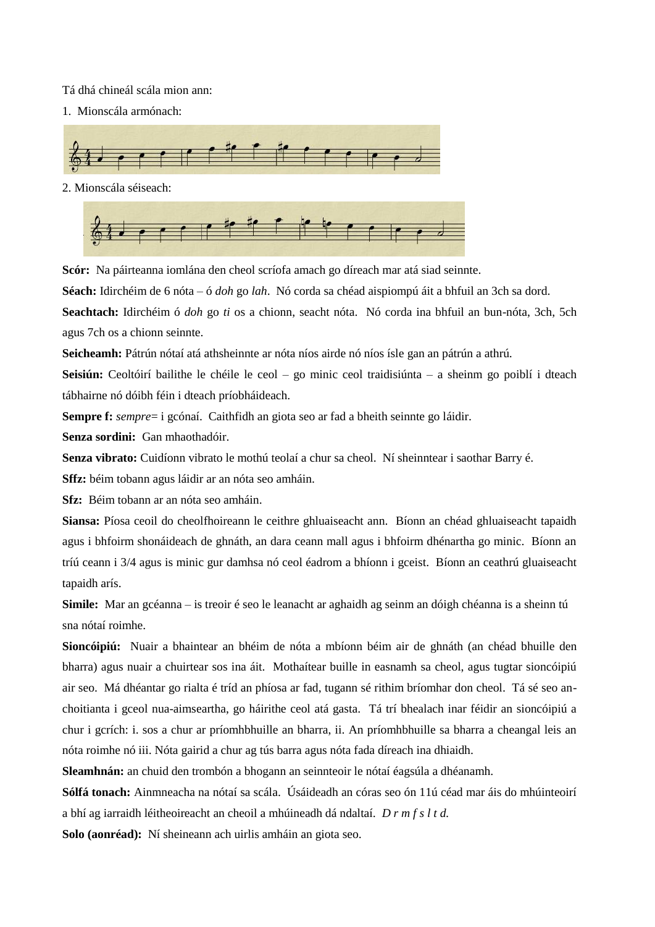Tá dhá chineál scála mion ann:

1. Mionscála armónach:



2. Mionscála séiseach:



**Scór:** Na páirteanna iomlána den cheol scríofa amach go díreach mar atá siad seinnte.

**Séach:** Idirchéim de 6 nóta – ó *doh* go *lah*. Nó corda sa chéad aispiompú áit a bhfuil an 3ch sa dord.

**Seachtach:** Idirchéim ó *doh* go *ti* os a chionn, seacht nóta. Nó corda ina bhfuil an bun-nóta, 3ch, 5ch agus 7ch os a chionn seinnte.

**Seicheamh:** Pátrún nótaí atá athsheinnte ar nóta níos airde nó níos ísle gan an pátrún a athrú.

**Seisiún:** Ceoltóirí bailithe le chéile le ceol – go minic ceol traidisiúnta – a sheinm go poiblí i dteach tábhairne nó dóibh féin i dteach príobháideach.

**Sempre f:** *sempre*= i gcónaí. Caithfidh an giota seo ar fad a bheith seinnte go láidir.

**Senza sordini:** Gan mhaothadóir.

**Senza vibrato:** Cuidíonn vibrato le mothú teolaí a chur sa cheol. Ní sheinntear i saothar Barry é.

**Sffz:** béim tobann agus láidir ar an nóta seo amháin.

**Sfz:** Béim tobann ar an nóta seo amháin.

**Siansa:** Píosa ceoil do cheolfhoireann le ceithre ghluaiseacht ann. Bíonn an chéad ghluaiseacht tapaidh agus i bhfoirm shonáideach de ghnáth, an dara ceann mall agus i bhfoirm dhénartha go minic. Bíonn an tríú ceann i 3/4 agus is minic gur damhsa nó ceol éadrom a bhíonn i gceist. Bíonn an ceathrú gluaiseacht tapaidh arís.

**Simile:** Mar an gcéanna – is treoir é seo le leanacht ar aghaidh ag seinm an dóigh chéanna is a sheinn tú sna nótaí roimhe.

**Sioncóipiú:** Nuair a bhaintear an bhéim de nóta a mbíonn béim air de ghnáth (an chéad bhuille den bharra) agus nuair a chuirtear sos ina áit. Mothaítear buille in easnamh sa cheol, agus tugtar sioncóipiú air seo. Má dhéantar go rialta é tríd an phíosa ar fad, tugann sé rithim bríomhar don cheol. Tá sé seo anchoitianta i gceol nua-aimseartha, go háirithe ceol atá gasta. Tá trí bhealach inar féidir an sioncóipiú a chur i gcrích: i. sos a chur ar príomhbhuille an bharra, ii. An príomhbhuille sa bharra a cheangal leis an nóta roimhe nó iii. Nóta gairid a chur ag tús barra agus nóta fada díreach ina dhiaidh.

**Sleamhnán:** an chuid den trombón a bhogann an seinnteoir le nótaí éagsúla a dhéanamh.

**Sólfá tonach:** Ainmneacha na nótaí sa scála. Úsáideadh an córas seo ón 11ú céad mar áis do mhúinteoirí a bhí ag iarraidh léitheoireacht an cheoil a mhúineadh dá ndaltaí. *D r m f s l t d.*

**Solo (aonréad):** Ní sheineann ach uirlis amháin an giota seo.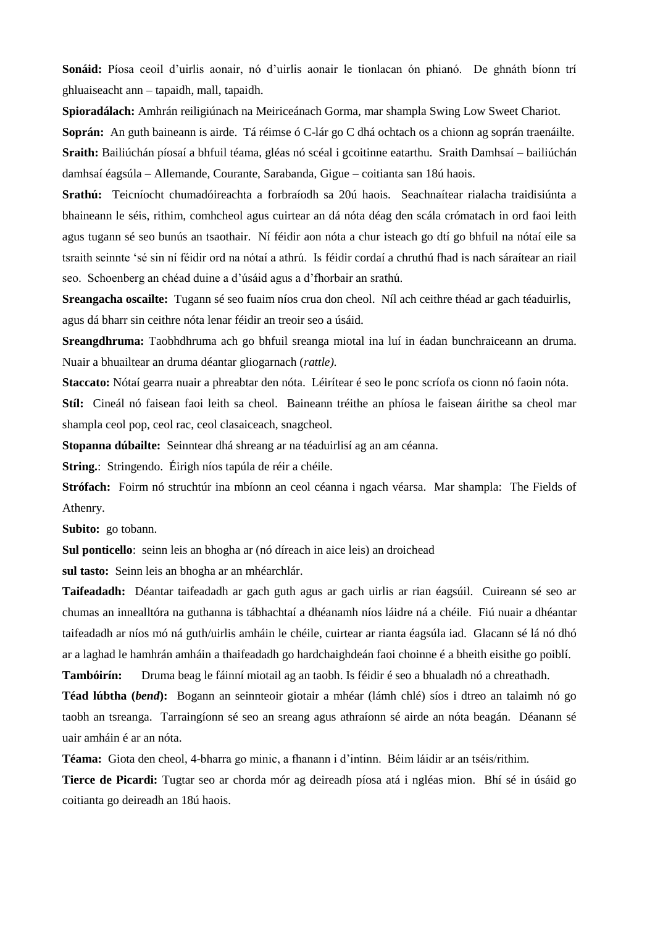**Sonáid:** Píosa ceoil d'uirlis aonair, nó d'uirlis aonair le tionlacan ón phianó. De ghnáth bíonn trí ghluaiseacht ann – tapaidh, mall, tapaidh.

**Spioradálach:** Amhrán reiligiúnach na Meiriceánach Gorma, mar shampla Swing Low Sweet Chariot.

**Soprán:** An guth baineann is airde. Tá réimse ó C-lár go C dhá ochtach os a chionn ag soprán traenáilte. **Sraith:** Bailiúchán píosaí a bhfuil téama, gléas nó scéal i gcoitinne eatarthu. Sraith Damhsaí – bailiúchán damhsaí éagsúla – Allemande, Courante, Sarabanda, Gigue – coitianta san 18ú haois.

**Srathú:** Teicníocht chumadóireachta a forbraíodh sa 20ú haois. Seachnaítear rialacha traidisiúnta a bhaineann le séis, rithim, comhcheol agus cuirtear an dá nóta déag den scála crómatach in ord faoi leith agus tugann sé seo bunús an tsaothair. Ní féidir aon nóta a chur isteach go dtí go bhfuil na nótaí eile sa tsraith seinnte 'sé sin ní féidir ord na nótaí a athrú. Is féidir cordaí a chruthú fhad is nach sáraítear an riail seo. Schoenberg an chéad duine a d'úsáid agus a d'fhorbair an srathú.

**Sreangacha oscailte:** Tugann sé seo fuaim níos crua don cheol. Níl ach ceithre théad ar gach téaduirlis, agus dá bharr sin ceithre nóta lenar féidir an treoir seo a úsáid.

**Sreangdhruma:** Taobhdhruma ach go bhfuil sreanga miotal ina luí in éadan bunchraiceann an druma. Nuair a bhuailtear an druma déantar gliogarnach (*rattle).*

**Staccato:** Nótaí gearra nuair a phreabtar den nóta. Léirítear é seo le ponc scríofa os cionn nó faoin nóta. **Stíl:** Cineál nó faisean faoi leith sa cheol. Baineann tréithe an phíosa le faisean áirithe sa cheol mar

shampla ceol pop, ceol rac, ceol clasaiceach, snagcheol.

**Stopanna dúbailte:** Seinntear dhá shreang ar na téaduirlisí ag an am céanna.

**String.**: Stringendo. Éirigh níos tapúla de réir a chéile.

**Strófach:** Foirm nó struchtúr ina mbíonn an ceol céanna i ngach véarsa. Mar shampla: The Fields of Athenry.

**Subito:** go tobann.

**Sul ponticello**: seinn leis an bhogha ar (nó díreach in aice leis) an droichead

**sul tasto:** Seinn leis an bhogha ar an mhéarchlár.

**Taifeadadh:** Déantar taifeadadh ar gach guth agus ar gach uirlis ar rian éagsúil. Cuireann sé seo ar chumas an innealltóra na guthanna is tábhachtaí a dhéanamh níos láidre ná a chéile. Fiú nuair a dhéantar taifeadadh ar níos mó ná guth/uirlis amháin le chéile, cuirtear ar rianta éagsúla iad. Glacann sé lá nó dhó ar a laghad le hamhrán amháin a thaifeadadh go hardchaighdeán faoi choinne é a bheith eisithe go poiblí.

**Tambóirín:** Druma beag le fáinní miotail ag an taobh. Is féidir é seo a bhualadh nó a chreathadh.

**Téad lúbtha (***bend***):** Bogann an seinnteoir giotair a mhéar (lámh chlé) síos i dtreo an talaimh nó go taobh an tsreanga. Tarraingíonn sé seo an sreang agus athraíonn sé airde an nóta beagán. Déanann sé uair amháin é ar an nóta.

**Téama:** Giota den cheol, 4-bharra go minic, a fhanann i d'intinn. Béim láidir ar an tséis/rithim.

**Tierce de Picardi:** Tugtar seo ar chorda mór ag deireadh píosa atá i ngléas mion. Bhí sé in úsáid go coitianta go deireadh an 18ú haois.